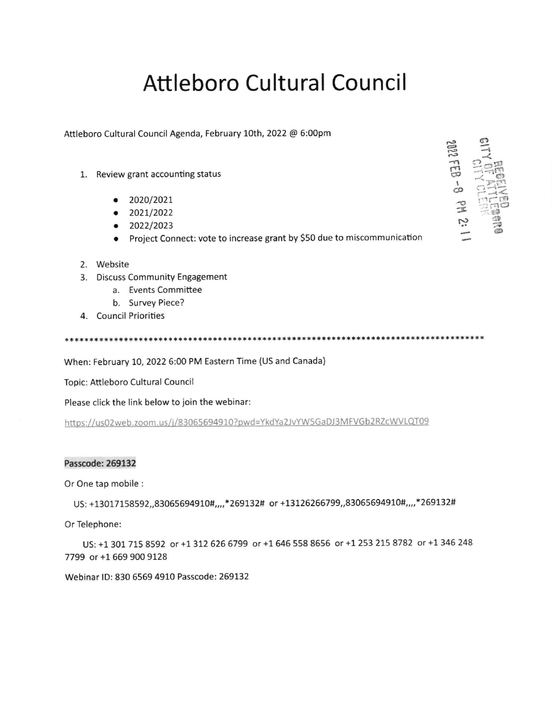## **Attleboro Cultural Council**

Attleboro Cultural Council Agenda, February 10th, 2022 @ 6:00pm

- 1. Review grant accounting status
	- $\bullet$  2020/2021
	- $\bullet$  2021/2022
	- $\bullet$  2022/2023
	- Project Connect: vote to increase grant by \$50 due to miscommunication
- 2. Website
- 3. Discuss Community Engagement
	- a. Events Committee
	- b. Survey Piece?
- 4. Council Priorities

When: February 10, 2022 6:00 PM Eastern Time (US and Canada)

Topic: Attleboro Cultural Council

Please click the link below to join the webinar:

https://us02web.zoom.us/j/83065694910?pwd=YkdYa2JvYW5GaDJ3MFVGb2RZcWVLQT09

## Passcode: 269132

Or One tap mobile :

US: +13017158592,,83065694910#,,,,\*269132# or +13126266799,,83065694910#,,,,\*269132#

Or Telephone:

US: +1 301 715 8592 or +1 312 626 6799 or +1 646 558 8656 or +1 253 215 8782 or +1 346 248 7799 or +1 669 900 9128

Webinar ID: 830 6569 4910 Passcode: 269132